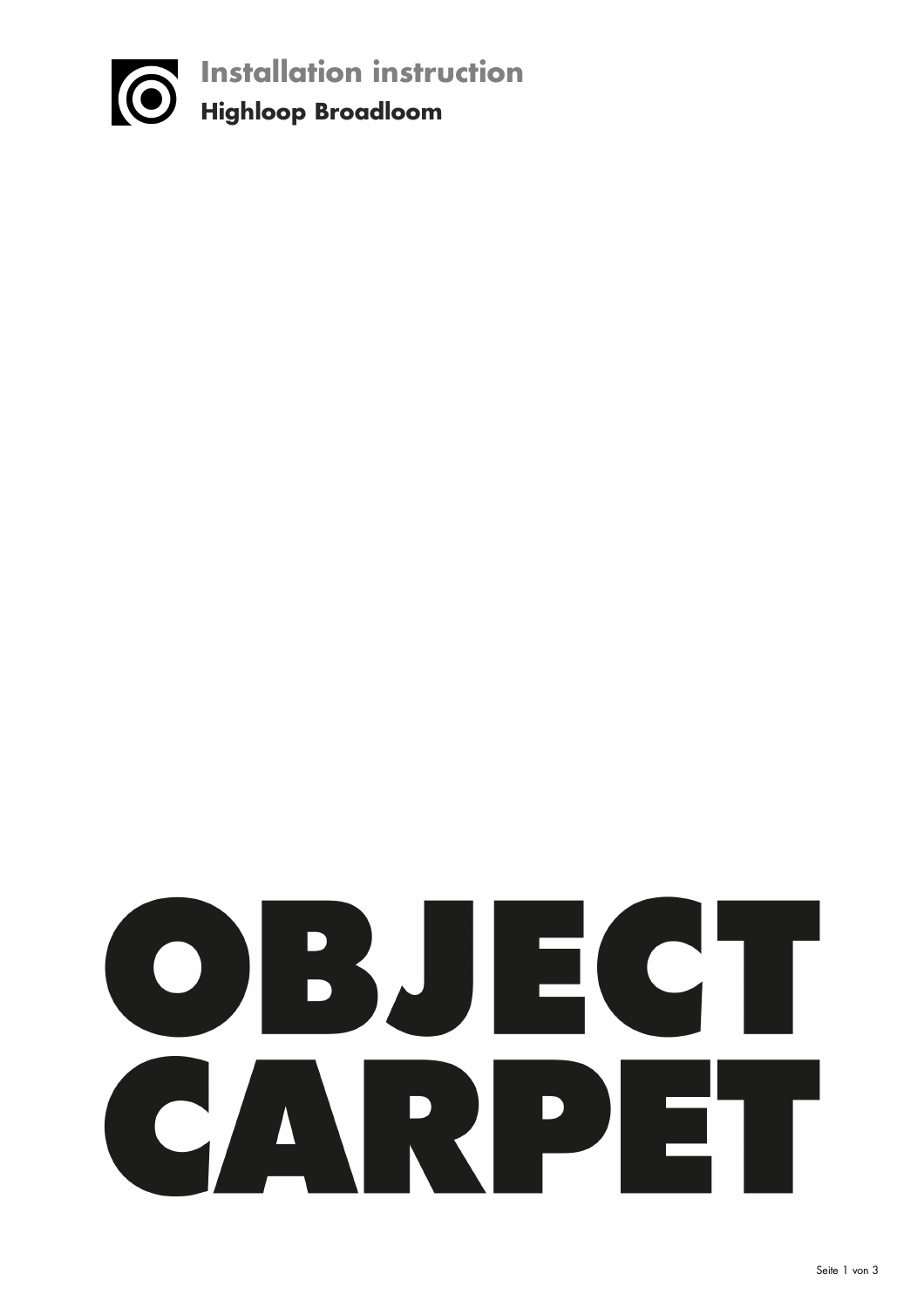

# OBJECT CARPET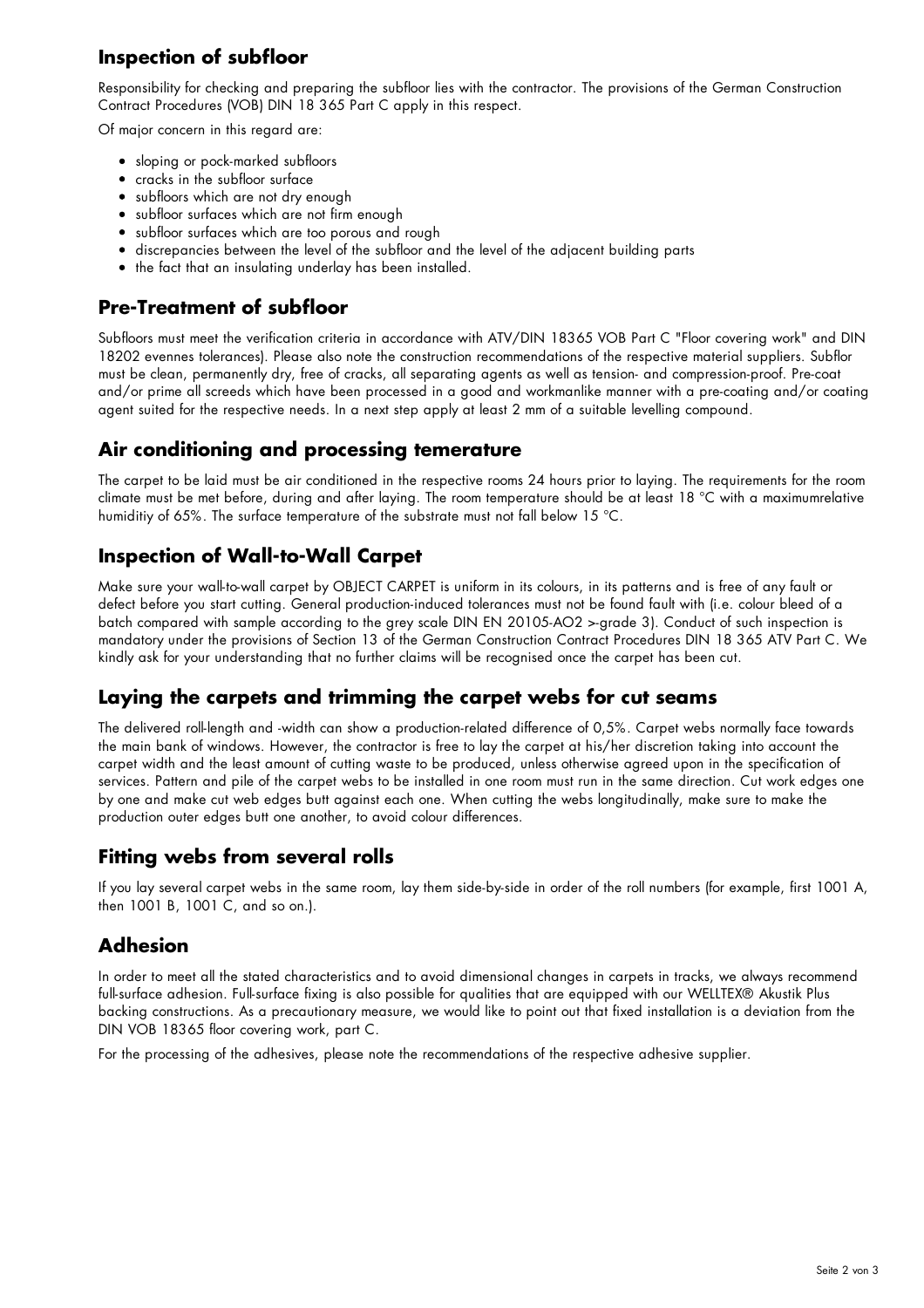# **Inspection of subfloor**

Responsibility for checking and preparing the subfloor lies with the contractor. The provisions of the German Construction Contract Procedures (VOB) DIN 18 365 Part C apply in this respect.

Of major concern in this regard are:

- sloping or pock-marked subfloors
- cracks in the subfloor surface
- subfloors which are not dry enough
- subfloor surfaces which are not firm enough
- subfloor surfaces which are too porous and rough
- discrepancies between the level of the subfloor and the level of the adjacent building parts
- the fact that an insulating underlay has been installed.

# **Pre-Treatment of subfloor**

Subfloors must meet the verification criteria in accordance with ATV/DIN 18365 VOB Part C "Floor covering work" and DIN 18202 evennes tolerances). Please also note the construction recommendations of the respective material suppliers. Subflor must be clean, permanently dry, free of cracks, all separating agents as well as tension- and compression-proof. Pre-coat and/or prime all screeds which have been processed in a good and workmanlike manner with a pre-coating and/or coating agent suited for the respective needs. In a next step apply at least 2 mm of a suitable levelling compound.

## **Air conditioning and processing temerature**

The carpet to be laid must be air conditioned in the respective rooms 24 hours prior to laying. The requirements for the room climate must be met before, during and after laying. The room temperature should be at least 18 °C with a maximumrelative humiditiy of 65%. The surface temperature of the substrate must not fall below 15 °C.

#### **Inspection of Wall-to-Wall Carpet**

Make sure your wall-to-wall carpet by OBJECT CARPET is uniform in its colours, in its patterns and is free of any fault or defect before you start cutting. General production-induced tolerances must not be found fault with (i.e. colour bleed of a batch compared with sample according to the grey scale DIN EN 20105-AO2 >-grade 3). Conduct of such inspection is mandatory under the provisions of Section 13 of the German Construction Contract Procedures DIN 18 365 ATV Part C. We kindly ask for your understanding that no further claims will be recognised once the carpet has been cut.

#### **Laying the carpets and trimming the carpet webs for cut seams**

The delivered roll-length and -width can show a production-related difference of 0,5%. Carpet webs normally face towards the main bank of windows. However, the contractor is free to lay the carpet at his/her discretion taking into account the carpet width and the least amount of cutting waste to be produced, unless otherwise agreed upon in the specification of services. Pattern and pile of the carpet webs to be installed in one room must run in the same direction. Cut work edges one by one and make cut web edges butt against each one. When cutting the webs longitudinally, make sure to make the production outer edges butt one another, to avoid colour differences.

#### **Fitting webs from several rolls**

If you lay several carpet webs in the same room, lay them side-by-side in order of the roll numbers (for example, first 1001 A, then 1001 B, 1001 C, and so on.).

#### **Adhesion**

In order to meet all the stated characteristics and to avoid dimensional changes in carpets in tracks, we always recommend full-surface adhesion. Full-surface fixing is also possible for qualities that are equipped with our WELLTEX® Akustik Plus backing constructions. As a precautionary measure, we would like to point out that fixed installation is a deviation from the DIN VOB 18365 floor covering work, part C.

For the processing of the adhesives, please note the recommendations of the respective adhesive supplier.